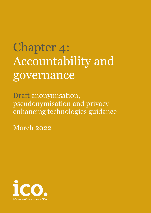# Chapter 4: Accountability and governance

Draft anonymisation, pseudonymisation and privacy enhancing technologies guidance

March 2022

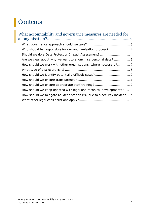## Contents

| What accountability and governance measures are needed for                   |  |
|------------------------------------------------------------------------------|--|
|                                                                              |  |
|                                                                              |  |
| Who should be responsible for our anonymisation process? 4                   |  |
| Should we do a Data Protection Impact Assessment?  4                         |  |
| Are we clear about why we want to anonymise personal data?  5                |  |
|                                                                              |  |
|                                                                              |  |
| How should we identify potentially difficult cases?10                        |  |
|                                                                              |  |
|                                                                              |  |
| How should we ensure appropriate staff training?12                           |  |
| How should we keep updated with legal and technical developments? 13         |  |
| How should we mitigate re-identification risk due to a security incident? 14 |  |
|                                                                              |  |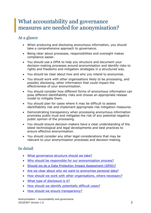## <span id="page-2-0"></span>What accountability and governance measures are needed for anonymisation?

## At a glance

- When producing and disclosing anonymous information, you should take a comprehensive approach to governance.
- Being clear about processes, responsibilities and oversight makes compliance easier.
- You should use a DPIA to help you structure and document your decision-making processes around anonymisation and identify risks to rights and freedoms and mitigation strategies in a structured way.
- You should be clear about how and why you intend to anonymise.
- You should work with other organisations likely to be processing, and possibly disclosing, other information that could impact the effectiveness of your anonymisation.
- You should consider how different forms of anonymous information can pose different identifiability risks and choose an appropriate release model to mitigate them.
- You should plan for cases where it may be difficult to assess identifiability risk and implement appropriate risk mitigation measures.
- Demonstrating transparency when processing anonymous information promotes public trust and mitigates the risk of any potential negative public opinion of the processing.
- You should ensure decision-makers have a clear understanding of the latest technological and legal developments and best practices to ensure effective anonymisation.
- You should consider any other legal considerations that may be relevant to your anonymisation processes and decision-making.

## In detail

- [What governance structure should we take?](#page-3-0)
- Who should be [responsible for our anonymisation process?](#page-4-0)
- [Should we do a Data Protection Impact Assessment \(DPIA\)?](#page-4-1)
- Are we clear about why we [want to anonymise personal data?](#page-5-0)
- How should we [work with other organisations, where necessary?](#page-7-0)
- [What type of disclosure is it?](#page-8-0)
- How should we [identify potentially difficult cases?](#page-10-0)
- How should we [ensure transparency?](#page-11-0)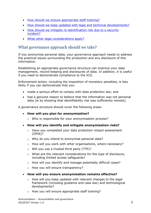- How should we [ensure appropriate staff training?](#page-12-0)
- How should we [keep updated with legal and technical developments?](#page-13-0)
- How should we [mitigate re-identification risk due to](#page-14-0) a security [incident?](#page-14-0)
- What [other legal considerations apply?](#page-15-0)

## <span id="page-3-0"></span>What governance approach should we take?

If you anonymise personal data, your governance approach needs to address the practical issues surrounding the production and any disclosure of this information.

Establishing an appropriate governance structure can improve your data management, record-keeping and disclosures of data. In addition, it is useful if you need to demonstrate compliance to the ICO.

Enforcement action, including the imposition of monetary penalties, is less likely if you can demonstrate that you:

- made a serious effort to comply with data protection law; and
- had a genuine reason to believe that the information was not personal data (ie by showing that identifiability risk was sufficiently remote).

A governance structure should cover the following areas:

- **How will you plan for anonymisation?**
	- o Who is responsible for your anonymisation process?
- **How will you identify and mitigate anonymisation risks?**
	- o Have you completed your data protection impact assessment (DPIA)?
	- o Why do you intend to anonymise personal data?
	- o How will you work with other organisations, where necessary?
	- o Will you use a trusted third party (TTP)?
	- o What are the relevant considerations for the type of disclosure, including limited access safeguards?
	- o How will you identify and manage potentially difficult cases?
	- o How you will ensure transparency?
- **How will you ensure anonymisation remains effective?**
	- o How will you keep updated with relevant changes to the legal framework (including guidance and case law) and technological developments?
	- o How you will ensure appropriate staff training?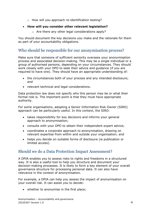o How will you approach re-identification testing?

#### • **How will you consider other relevant legislation?**

o Are there any other legal considerations apply?

You should document the key decisions you make and the rationale for them as part of your accountability obligations.

## <span id="page-4-0"></span>Who should be responsible for our anonymisation process?

Make sure that someone of sufficient seniority oversees your anonymisation process and associated decision-making. This may be a single individual or a group of authorised persons, depending on your circumstances. They should work closely with your DPO to seek their advice and guidance (if you are required to have one). They should have an appropriate understanding of:

- the circumstances both of your process and any intended disclosure; and
- relevant technical and legal considerations.

Data protection law does not specify who this person may be or what their formal role is. The important point is that they must have appropriate authority.

For some organisations, adopting a Senior Information Risk Owner (SIRO) approach can be particularly useful. In this context, the SIRO:

- takes responsibility for key decisions and informs your general approach to anonymisation;
- consults with your DPO to obtain their independent expert advice;
- coordinates a corporate approach to anonymisation, drawing on relevant expertise from within and outside your organisation; and
- helps you decide on suitable forms of disclosure (ie publication or limited access).

## <span id="page-4-1"></span>Should we do a Data Protection Impact Assessment?

A DPIA enables you to assess risks to rights and freedoms in a structured way. It is also a useful tool to help you structure and document your decision-making processes. It is likely to form a key element of your overall governance structure for processing personal data. It can also have relevance in the context of anonymisation.

For example, a DPIA can help you assess the impact of anonymisation on your overall risk. It can assist you to decide:

• whether to anonymise in the first place;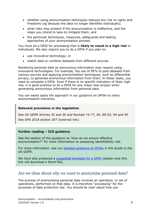- whether using anonymisation techniques reduces any risk to rights and freedoms (eg because the data no longer identifies individuals);
- what risks may present if the anonymisation is ineffective, and the steps you intend to take to mitigate them; and
- the particular techniques, measures, safeguards and testing approaches of your anonymisation process.

You must do a DPIA for processing that is **likely to result in a high risk** to individuals. We also require you to do a DPIA if you plan to:

- use innovative technology; or
- match data or combine datasets from different sources.

Rendering personal data as anonymous information may require using innovative technologies. For example, the use of PETs to pool datasets from various sources and applying anonymisation techniques, such as differential privacy, to generate anonymous information from them. In these cases, you need to complete a DPIA. Even if there is no specific indication of likely high risk, it is good practice to do a DPIA for any major new project when generating anonymous information from personal data.

You can easily apply the approach in our guidance on DPIAs to many anonymisation scenarios.

#### **Relevant provisions in the legislation**

See UK GDPR Articles 35 and 36 and Recitals 74-77, 84, 89-92, 94 and 95

See DPA 2018 section 207 (external link)

#### **Further reading – ICO guidance**

See the section of this guidance on 'How do we ensure effective anonymisation?'' for more information on assessing identifiability risk.

For more information, see our [detailed guidance on DPIAs](https://ico.org.uk/for-organisations/guide-to-data-protection/guide-to-the-general-data-protection-regulation-gdpr/data-protection-impact-assessments-dpias/) in the Guide to the UK GDPR.

We have also produced a [suggested template for a DPIA](https://ico.org.uk/media/for-organisations/documents/2553993/dpia-template.docx) (please note this link will download a Word file).

### <span id="page-5-0"></span>Are we clear about why we want to anonymise personal data?

The process of anonymising personal data involves an operation, or set of operations, performed on that data. It is therefore "processing" for the purposes of data protection law. You should be clear about how you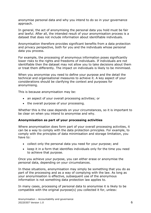anonymise personal data and why you intend to do so in your governance approach.

In general, the act of anonymising the personal data you hold must be fair and lawful. After all, the intended result of your anonymisation process is a dataset that does not include information about identifiable individuals.

Anonymisation therefore provides significant benefits from a data protection and privacy perspective, both for you and the individuals whose personal data you process.

For example, the processing of anonymous information poses significantly lower risks to the rights and freedoms of individuals. If individuals are not identifiable then the dataset may not allow you to take decisions about them or treat them differently. The impact on individuals is likely to be minimised.

When you anonymise you need to define your purpose and the detail the technical and organisational measures to achieve it. A key aspect of your considerations should be clarifying the context and purposes for anonymising.

This is because anonymisation may be:

- an aspect of your overall processing activities; or
- the overall purpose of your processing.

Whether this is the case depends on your circumstances, so it is important to be clear on when you intend to anonymise and why.

#### **Anonymisation as part of your processing activities**

Where anonymisation does form part of your overall processing activities, it can be a way to comply with the data protection principles. For example, to comply with the principles of data minimisation and storage limitation, you have to:

- collect only the personal data you need for your purpose; and
- keep it in a form that identifies individuals only for the time you need to achieve that purpose.

Once you achieve your purpose, you can either erase or anonymise the personal data, depending on your circumstances.

In these situations, anonymisation may simply be something that you do as part of the processing and as a way of complying with the law. As long as your anonymisation is effective, subsequent use of the anonymous information is not something data protection law applies to.

In many cases, processing of personal data to anonymise it is likely to be compatible with the original purpose(s) you collected it for, unless: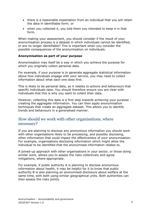- there is a reasonable expectation from an individual that you will retain the data in identifiable form; or
- when you collected it, you told them you intended to keep it in that form.

When making your assessment, you should consider if the result of your anonymisation process is a dataset in which individuals cannot be identified, or are no longer identifiable? This is important when you consider the possible consequences of the anonymisation on individuals.

#### **Anonymisation as part of your purpose**

Anonymisation may itself be a way in which you achieve the purpose for which you originally collect personal data.

For example, if your purpose is to generate aggregate statistical information about how individuals engage with your service, you may need to collect information about what each one does first.

This is likely to be personal data, as it relates to actions and behaviours that specific individuals take. You should therefore ensure you are clear with individuals that this is why you want to collect their data.

However, collecting this data is a first step towards achieving your purpose creating the aggregate information. You can then apply anonymisation techniques that create an aggregate dataset. This allows you to identify trends and behaviours in a generalised manner.

## <span id="page-7-0"></span>How should we work with other organisations, where necessary?

If you are planning to disclose any anonymous information you should work with other organisations likely to be processing, and possibly disclosing, other information that could impact the effectiveness of your anonymisation. For example, organisations disclosing information which might allow the individual to be identified that the anonymised information relates to.

A joined-up approach with other organisations in your sector, or those doing similar work, allows you to assess the risks collectively and agree mitigations, where appropriate.

For example, if public authority A is planning to disclose anonymous information about health, it may be helpful for it to know that public authority B is also planning an anonymised disclosure about welfare at the same time, with both using similar geographical units. Both authorities can then assess the risks jointly.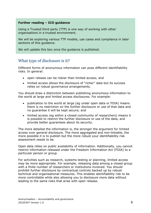#### **Further reading – ICO guidance**

Using a Trusted third party (TTP) is one way of working with other organisations in a trusted environment.

We will be exploring various TTP models, use cases and compliance in later sections of this guidance.

We will update this box once the guidance is published.

## <span id="page-8-0"></span>What type of disclosure is it?

Different forms of anonymous information can pose different identifiability risks. In general:

- open release can be riskier than limited access; and
- limited access allows the disclosure of "richer" data but its success relies on robust governance arrangements.

You should draw a distinction between publishing anonymous information to the world at large and limited access disclosures. For example:

- publication to the world at large (eg under open data or FOIA) means there is no restriction on the further disclosure or use of that data and no guarantee it will be kept secure; and
- limited access (eg within a closed community of researchers) means it is possible to restrict the further disclosure or use of the data, and provide better guarantees about its security.

The more detailed the information is, the stronger the argument for limited access over general disclosure. The more aggregated and non-linkable, the more possible it is to publish but the more robust your identifiability risk assessment needs to be.

Open data relies on public availability of information. Additionally, you cannot restrict information released under the Freedom Information Act (FOIA) to a particular person or group.

For activities such as research, systems testing or planning, limited access may be more appropriate. For example, releasing data among a closed group with a finite number of researchers or institutions involved. You should prohibit further disclosure by contractual controls backed up by robust technical and organisational measures. This enables identifiability risk to be more controllable while also allowing you to disclosure more data without leading to the same risks that arise with open release.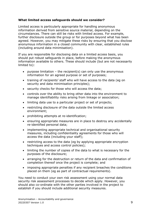#### **What limited access safeguards should we consider?**

Limited access is particularly appropriate for handling anonymous information derived from sensitive source material, depending on the circumstances. There can still be risks with limited access. For example, further disclosure outside the group or for purposes beyond what has been agreed. However, you may mitigate these risks by ensuring that you disclose anonymous information in a closed community with clear, established rules (including around data minimisation).

If you are responsible for disclosing data on a limited access basis, you should put robust safeguards in place, before making the anonymous information available to others. These should include (but are not necessarily limited to):

- purpose limitation the recipient(s) can only use the anonymous information for an agreed purpose or set of purposes;
- training of recipients' staff who will have access to the data (eg on security and data minimisation principles);
- security checks for those who will access the data;
- controls over the ability to bring other data into the environment to manage identifiability risks arising from linkage or association;
- limiting data use to a particular project or set of projects;
- restricting disclosure of the data outside the limited access environment;
- prohibiting attempts at re-identification;
- ensuring appropriate measures are in place to destroy any accidentally re-identified personal data;
- implementing appropriate technical and organisational security measures, including confidentiality agreements for those who will access the data (including your staff);
- restricting access to the data (eg by applying appropriate encryption techniques and access control policies);
- limiting the number of copies of the data to what is necessary for the purposes of the disclosure;
- arranging for the destruction or return of the data and confirmation of completion thereof once the project is complete; and
- imposing appropriate penalties if any recipient breaches the conditions placed on them (eg as part of contractual requirements).

You need to conduct your own risk assessment using your normal data security risk assessment processes to decide which apply. However, you should also co-ordinate with the other parties involved in the project to establish if you should include additional security measures.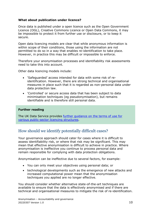#### **What about publication under licence?**

Once data is published under a open licence such as the Open Government Licence (OGL), Creative Commons Licence or Open Data Commons, it may be impossible to protect it from further use or disclosure, or to keep it secure.

Open data licencing models are clear that while anonymous information is within scope of their conditions, those using the information are not permitted to do so in a way that enables re-identification to take place. However, in practice this may be difficult or impossible to enforce.

Therefore your anonymisation processes and identifiability risk assessments need to take this into account.

Other data licencing models include:

- 'Safeguarded' access intended for data with some risk of reidentification. However, there are strong technical and organisational measures in place such that it is regarded as non-personal data under data protection law.
- 'Controlled' or secure access data that has been subject to data minimisation techniques (eg pseudonymisation), but remains identifiable and is therefore still personal data.

#### **Further reading**

The UK Data Service provides [further guidance on the terms of use for](https://ukdataservice.ac.uk/help/access-policy/types-of-data-access/)  [various public-sector licencing structures.](https://ukdataservice.ac.uk/help/access-policy/types-of-data-access/)

## <span id="page-10-0"></span>How should we identify potentially difficult cases?

Your governance approach should cater for cases where it is difficult to assess identifiability risk, or where that risk may be significant. This may mean that effective anonymisation is difficult to achieve in practice. Where anonymisation is ineffective you continue to process personal data and remain responsible for complying with data protection obligations.

Anonymisation can be ineffective due to several factors, for example:

- You can only meet your objectives using personal data; or
- technological developments such as the emergence of new attacks and increased computational power mean that the anonymisation techniques you applied are no longer effective.

You should consider whether alternative state-of-the-art techniques are available to ensure that the data is effectively anonymised and if there are technical and organisational measures to mitigate the risk of re-identification.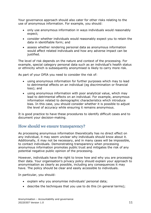Your governance approach should also cater for other risks relating to the use of anonymous information. For example, you should:

- only use anonymous information in ways individuals would reasonably expect;
- consider whether individuals would reasonably expect you to retain the data in identifiable form; and
- assess whether rendering personal data as anonymous information would affect related individuals and how any adverse impact can be justified.

The level of risk depends on the nature and context of the processing. For example, special category personal data such as an individual's health status or ethnicity which is subsequently anonymised is likely to carry more risk.

As part of your DPIA you need to consider the risk of:

- using anonymous information for further purposes which may to lead to detrimental effects on an individual (eg discrimination or financial loss); and
- using anonymous information with poor analytical value, which may lead to detrimental effects on an individual. For example, anonymous information related to demographic characteristics which introduce bias. In this case, you should consider whether it is possible to adjust the level of accuracy while ensuring it remains anonymous.

It is good practice to have these procedures to identify difficult cases and to document your decision-making.

## <span id="page-11-0"></span>How should we ensure transparency?

As processing anonymous information theoretically has no direct effect on any individual, it may seem unclear why individuals should know about it. Additionally, it may not be necessary, and in many cases will be impossible, to contact individuals. Demonstrating transparency when processing anonymous information promotes public trust and mitigates the risk of any potential negative public opinion of the processing.

However, individuals have the right to know how and why you are processing their data. Your organisation's privacy policy should explain your approach to anonymisation as clearly as possible, including any consequences it may have. The policy should be clear and easily accessible to individuals.

In particular, you should:

- explain why you anonymise individuals' personal data;
- describe the techniques that you use to do this (in general terms);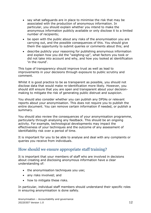- say what safeguards are in place to minimise the risk that may be associated with the production of anonymous information. In particular, you should explain whether you intend to make the anonymous information publicly available or only disclose it to a limited number of recipients;
- be open with the public about any risks of the anonymisation you are carrying out, and the possible consequences of this. You should give them the opportunity to submit queries or comments about this; and
- describe publicly your reasoning for publishing anonymous information and explain how you did the "weighing-up", what factors you took or did not take into account and why, and how you looked at identification 'in the round'.

This type of transparency should improve trust as well as lead to improvements in your decisions through exposure to public scrutiny and comment.

Whilst it is good practice to be as transparent as possible, you should not disclose data that would make re-identification more likely. However, you should still ensure that you are open and transparent about your decisionmaking to mitigate the risk of generating public distrust and suspicion.

You should also consider whether you can publish any DPIAs or relevant reports about your anonymisation. This does not require you to publish the entire document. You can remove certain information if needed, or publish a summary.

You should also review the consequences of your anonymisation programme, particularly through analysing any feedback. This should be an ongoing activity. For example, technological developments may impact the effectiveness of your techniques and the outcome of any assessment of identifiability risk over a period of time.

It is important for you to be able to analyse and deal with any complaints or queries you receive from individuals.

## <span id="page-12-0"></span>How should we ensure appropriate staff training?

It is important that your members of staff who are involved in decisions about creating and disclosing anonymous information have a clear understanding of:

- the anonymisation techniques you use;
- any risks involved; and
- how to mitigate these risks.

In particular, individual staff members should understand their specific roles in ensuring anonymisation is done safely.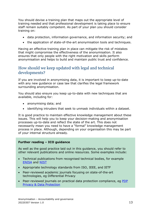You should devise a training plan that maps out the appropriate level of training needed and that professional development is taking place to ensure staff remain suitably competent. As part of your plan you should consider training on:

- data protection, information governance, and information security; and
- the application of state-of-the-art anonymisation tools and techniques.

Having an effective training plan in place can mitigate the risk of mistakes that might compromise the effectiveness of the anonymisation. It also ensures that only people with the right motivation and skills perform anonymisation and helps to build and maintain public trust and confidence.

## <span id="page-13-0"></span>How should we keep updated with legal and technical developments?

If you are involved in anonymising data, it is important to keep up-to-date with any new guidance or case law that clarifies the legal framework surrounding anonymisation.

You should also ensure you keep up-to-date with new techniques that are available, including for:

- anonymising data; and
- identifying intruders that seek to unmask individuals within a dataset.

It is good practice to maintain effective knowledge management about these issues. This will help you to keep your decision-making and anonymisation processes up-to-date and reflect the state of the art. This does not necessarily mean you need to have a "formal" knowledge management process in place. Although, depending on your organisation this may be part of your internal structure already.

#### **Further reading – ICO guidance**

As well as the good practice laid out in this guidance, you should refer to other relevant publications and online resources. Some examples include:

- Technical publications from recognised technical bodies, for example [ENISA](https://www.enisa.europa.eu/publications/pseudonymisation-techniques-and-best-practices/@@download/fullReport) and [NIST](https://www.nist.gov/)
- Appropriate technology standards from ISO, IEEE, and IETF
- Peer-reviewed academic journals focusing on state-of-the-art technologies, eg Differential Privacy
- Peer-reviewed journals on practical data protection compliance, eg PDP [Privacy & Data Protection](https://www.pdpjournals.com/overview-privacy-and-data-protection)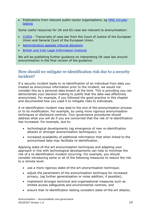• Publications from relevant public-sector organisations, eg [ONS intruder](https://www.ons.gov.uk/methodology/methodologytopicsandstatisticalconcepts/disclosurecontrol/guidanceonintrudertesting)  [testing](https://www.ons.gov.uk/methodology/methodologytopicsandstatisticalconcepts/disclosurecontrol/guidanceonintrudertesting)

Some useful resources for UK and EU case law relevant to anonymisation:

- [CURIA](https://curia.europa.eu/jcms/jcms/j_6/en/) Transcripts of case law from the Court of Justice of the European Union and General Court of the European Union.
- [Administrative appeals tribunal decisions](https://www.gov.uk/administrative-appeals-tribunal-decisions)
- [British and Irish Legal Information Institute](https://www.bailii.org/)

We will be publishing further guidance on interpreting UK case law around anonymisation in the final version of the guidance.

## <span id="page-14-0"></span>How should we mitigate re-identification risk due to a security incident?

If a security incident leads to re-identification of an individual from data you treated as anonymous information prior to the incident, we would not consider this as a personal data breach at the time. This is providing you can demonstrate your decision-making to justify that the data was effectively anonymised. For example, if you followed the good practice in this chapter and documented how you used it to mitigate risks to individuals.

A re-identification incident may lead to the end of the anonymisation process or to its modification. For example, by using more rigorous anonymisation techniques or disclosure controls. Your governance procedures should address what you will do if you are concerned that the risk of re-identification has increased. For example, due to:

- technological developments (eg emergence of new re-identification attacks or stronger anonymisation techniques); or
- increased availability of additional information that when linked to the anonymised data may facilitate re-identification.

Applying state-of-the-art anonymisation techniques and adapting your approach in line with technological developments can help to minimise the risk of a re-identification incident occurring. For example, you should consider introducing some or all of the following measures to reduce the risk to a remote level:

- use a more rigorous state-of-the-art anonymisation technique;
- adjust the parameters of the anonymisation technique for increased privacy, (eg further generalisation or noise addition, if possible);
- implement stronger technical and organisational measures such as limited access safeguards and environmental controls; and
- ensure that re-identification testing considers state-of-the-art attacks.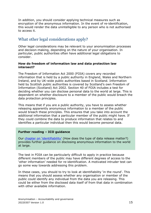In addition, you should consider applying technical measures such as encryption of the anonymous information. In the event of re-identification, this would render the data unintelligible to any person who is not authorised to access it.

## <span id="page-15-0"></span>What other legal considerations apply?

Other legal considerations may be relevant to your anonymisation processes and decision-making, depending on the nature of your organisation. In particular, public authorities often have additional legal obligations to consider.

#### **How do freedom of information law and data protection law intersect?**

The Freedom of Information Act 2000 (FOIA) covers any recorded information that is held by a public authority in England, Wales and Northern Ireland, and by UK-wide public authorities based in Scotland. Information held by Scottish public authorities is covered by Scotland's own Freedom of Information (Scotland) Act 2002. Section 40 of FOIA includes a test for deciding whether you can disclose personal data to the world at large. This is dependent on whether disclosure to a member of the public would breach the data protection principles.

This means that if you are a public authority, you have to assess whether releasing apparently anonymous information to a member of the public would breach these principles. This ensures that you take into account the additional information that a particular member of the public might have. If they could combine the data to produce information that relates to and identifies a particular individual then this would become personal data.

#### **Further reading – ICO guidance**

Our [chapter on 'identifiability'](https://ico.org.uk/media/about-the-ico/documents/4018606/chapter-2-anonymisation-draft.pdf) (How does the type of data release matter?) provides further guidance on disclosing anonymous information to the world at large.

The test in FOIA can be particularly difficult to apply in practice because different members of the public may have different degrees of access to the 'other information' needed for re-identification. A motivated intruder test can go some way towards addressing this problem.

In these cases, you should to try to look at identifiability 'in the round'. This means that you should assess whether any organisation or member of the public could identify any individual from the data you are releasing. This could be either from the disclosed data itself of from that data in combination with other available information.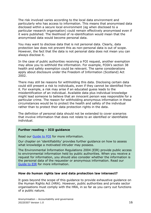The risk involved varies according to the local data environment and particularly who has access to information. This means that anonymised data disclosed within a secure local environment (eg when disclosed to a particular research organisation) could remain effectively anonymised even if it were published. The likelihood of re-identification would mean that the anonymised data would become personal data.

You may want to disclose data that is not personal data. Clearly, data protection law does not prevent this as non-personal data is out of scope. However, the fact that the data is not personal data does not mean you can always disclose it.

In the case of public authorities receiving a FOI request, another exemption may allow you to withhold the information. For example, FOIA's section 38 health and safety exemption could be relevant. The same considerations apply about disclosure under the Freedom of Information (Scotland) Act 2002.

There may still be reasons for withholding this data. Disclosing certain data could still present a risk to individuals, even if they cannot be identified from it. For example, a risk may arise if an educated guess leads to the misidentification of an individual. Available data plus individual knowledge might lead someone to believe that an innocent person was responsible for a particular crime. The reason for withholding anonymous information in these circumstances would be to protect the health and safety of the individual rather than to protect their data protection rights in the data.

The definition of personal data should not be extended to cover scenarios that involve information that does not relate to an identified or identifiable individual.

#### **Further reading – ICO guidance**

Read our [Guide to FOI](https://ico.org.uk/for-organisations/guide-to-freedom-of-information/) for more information.

Our chapter on 'identifiability' provides further guidance on how to assess what knowledge a motivated intruder may possess.

The Environmental Information Regulations 2004 (EIR) provide public access to environmental information held by public authorities. When you receive a request for information, you should also consider whether the information is the personal data of the requester or anonymous information. Read our [Guide to EIR](https://ico.org.uk/for-organisations/guide-to-the-environmental-information-regulations/) for more information.

#### **How do human rights law and data protection law intersect?**

It goes beyond the scope of this guidance to provide exhaustive guidance on the Human Rights Act (HRA). However, public authorities and private sector organisations must comply with the HRA, in so far as you carry out functions of a public nature.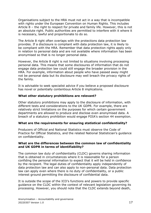Organisations subject to the HRA must not act in a way that is incompatible with rights under the European Convention on Human Rights. This includes Article 8 – the right to respect for private and family life. However, this is not an absolute right. Public authorities are permitted to interfere with it where it is necessary, lawful and proportionate to do so.

The Article 8 right often overlaps with the protections data protection law provides. If a disclosure is compliant with data protection law, it is likely to be compliant with the HRA. Remember that data protection rights apply only in relation to personal data and are not available where information has been anonymised so that is no longer personal data.

However, the Article 8 right is not limited to situations involving processing personal data. This means that some disclosures of information that do not engage data protection law could still engage the broader provision in the HRA. For example, information about people who have passed away might not be personal data but its disclosure may well breach the privacy rights of the family.

It is advisable to seek specialist advice if you believe a proposed disclosure has novel or potentially contentious Article 8 implications.

#### **What other statutory prohibitions are relevant?**

Other statutory prohibitions may apply to the disclosure of information, with different tests and considerations to the UK GDPR. For example, there are relatively strict limitations on the purposes for which certain government departments are allowed to produce and disclose even anonymised data. A breach of a statutory prohibition would engage FOIA's section 44 exemption.

#### **What are the requirements for ensuring statistical confidentiality?**

Producers of Official and National Statistics must observe the Code of Practice for Official Statistics, and the related National Statistician's guidance on confidentiality.

#### **What are the differences between the common law of confidentiality and UK GDPR in terms of identifiability?**

The common law duty of confidentiality (CLDC) governs sharing information that is obtained in circumstances where it is reasonable for a person confiding the personal information to expect that it will be held in confidence by the recipient. The legal duties of confidentiality apply independently of data protection law and can also apply to non-personal data. Data protection law can apply even where there is no duty of confidentiality, or a public interest ground permitting the disclosure of confidential data.

It is outside the scope of the ICO's functions and powers to provide specific guidance on the CLDC within the context of relevant legislation governing its processing. However, you should note that the CLDC extends beyond death,